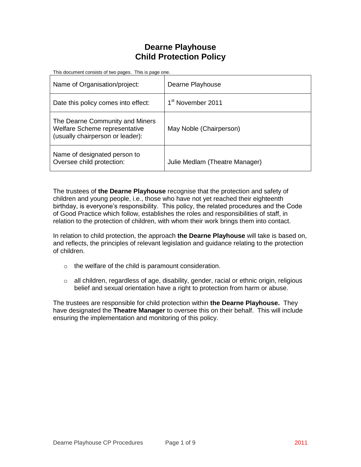# **Dearne Playhouse Child Protection Policy**

| This document consists of two pages. This is page one.                                               |                                |  |
|------------------------------------------------------------------------------------------------------|--------------------------------|--|
| Name of Organisation/project:                                                                        | Dearne Playhouse               |  |
| Date this policy comes into effect:                                                                  | 1 <sup>st</sup> November 2011  |  |
| The Dearne Community and Miners<br>Welfare Scheme representative<br>(usually chairperson or leader): | May Noble (Chairperson)        |  |
| Name of designated person to<br>Oversee child protection:                                            | Julie Medlam (Theatre Manager) |  |

The trustees of **the Dearne Playhouse** recognise that the protection and safety of children and young people, i.e., those who have not yet reached their eighteenth birthday, is everyone's responsibility. This policy, the related procedures and the Code of Good Practice which follow, establishes the roles and responsibilities of staff, in relation to the protection of children, with whom their work brings them into contact.

In relation to child protection, the approach **the Dearne Playhouse** will take is based on, and reflects, the principles of relevant legislation and guidance relating to the protection of children.

- o the welfare of the child is paramount consideration.
- o all children, regardless of age, disability, gender, racial or ethnic origin, religious belief and sexual orientation have a right to protection from harm or abuse.

The trustees are responsible for child protection within **the Dearne Playhouse.** They have designated the **Theatre Manager** to oversee this on their behalf. This will include ensuring the implementation and monitoring of this policy.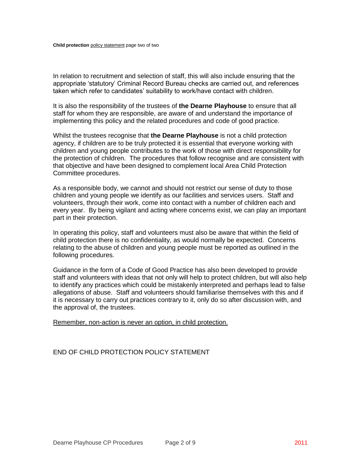In relation to recruitment and selection of staff, this will also include ensuring that the appropriate 'statutory' Criminal Record Bureau checks are carried out, and references taken which refer to candidates' suitability to work/have contact with children.

It is also the responsibility of the trustees of **the Dearne Playhouse** to ensure that all staff for whom they are responsible, are aware of and understand the importance of implementing this policy and the related procedures and code of good practice.

Whilst the trustees recognise that **the Dearne Playhouse** is not a child protection agency, if children are to be truly protected it is essential that everyone working with children and young people contributes to the work of those with direct responsibility for the protection of children. The procedures that follow recognise and are consistent with that objective and have been designed to complement local Area Child Protection Committee procedures.

As a responsible body, we cannot and should not restrict our sense of duty to those children and young people we identify as our facilities and services users. Staff and volunteers, through their work, come into contact with a number of children each and every year. By being vigilant and acting where concerns exist, we can play an important part in their protection.

In operating this policy, staff and volunteers must also be aware that within the field of child protection there is no confidentiality, as would normally be expected. Concerns relating to the abuse of children and young people must be reported as outlined in the following procedures.

Guidance in the form of a Code of Good Practice has also been developed to provide staff and volunteers with ideas that not only will help to protect children, but will also help to identify any practices which could be mistakenly interpreted and perhaps lead to false allegations of abuse. Staff and volunteers should familiarise themselves with this and if it is necessary to carry out practices contrary to it, only do so after discussion with, and the approval of, the trustees.

Remember, non-action is never an option, in child protection.

### END OF CHILD PROTECTION POLICY STATEMENT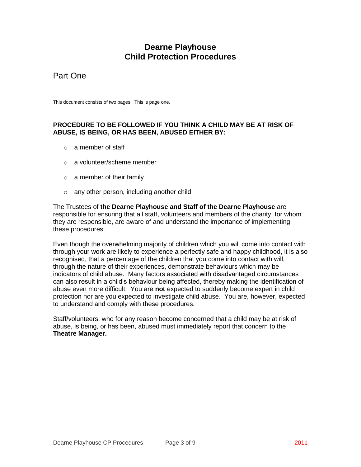# **Dearne Playhouse Child Protection Procedures**

# Part One

This document consists of two pages. This is page one.

### **PROCEDURE TO BE FOLLOWED IF YOU THINK A CHILD MAY BE AT RISK OF ABUSE, IS BEING, OR HAS BEEN, ABUSED EITHER BY:**

- o a member of staff
- o a volunteer/scheme member
- o a member of their family
- o any other person, including another child

The Trustees of **the Dearne Playhouse and Staff of the Dearne Playhouse** are responsible for ensuring that all staff, volunteers and members of the charity, for whom they are responsible, are aware of and understand the importance of implementing these procedures.

Even though the overwhelming majority of children which you will come into contact with through your work are likely to experience a perfectly safe and happy childhood, it is also recognised, that a percentage of the children that you come into contact with will, through the nature of their experiences, demonstrate behaviours which may be indicators of child abuse. Many factors associated with disadvantaged circumstances can also result in a child's behaviour being affected, thereby making the identification of abuse even more difficult. You are **not** expected to suddenly become expert in child protection nor are you expected to investigate child abuse. You are, however, expected to understand and comply with these procedures.

Staff/volunteers, who for any reason become concerned that a child may be at risk of abuse, is being, or has been, abused must immediately report that concern to the **Theatre Manager.**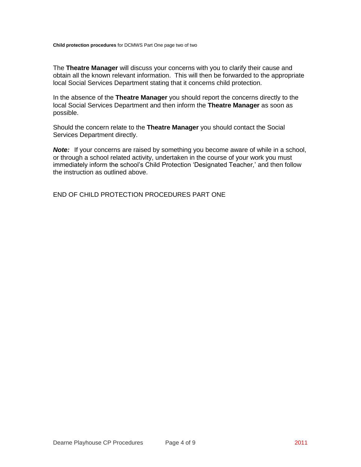**Child protection procedures** for DCMWS Part One page two of two

The **Theatre Manager** will discuss your concerns with you to clarify their cause and obtain all the known relevant information. This will then be forwarded to the appropriate local Social Services Department stating that it concerns child protection.

In the absence of the **Theatre Manager** you should report the concerns directly to the local Social Services Department and then inform the **Theatre Manager** as soon as possible.

Should the concern relate to the **Theatre Manager** you should contact the Social Services Department directly.

**Note:** If your concerns are raised by something you become aware of while in a school, or through a school related activity, undertaken in the course of your work you must immediately inform the school's Child Protection 'Designated Teacher,' and then follow the instruction as outlined above.

END OF CHILD PROTECTION PROCEDURES PART ONE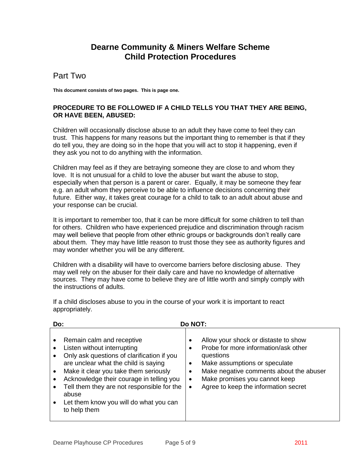# **Dearne Community & Miners Welfare Scheme Child Protection Procedures**

### Part Two

**This document consists of two pages. This is page one.**

### **PROCEDURE TO BE FOLLOWED IF A CHILD TELLS YOU THAT THEY ARE BEING, OR HAVE BEEN, ABUSED:**

Children will occasionally disclose abuse to an adult they have come to feel they can trust. This happens for many reasons but the important thing to remember is that if they do tell you, they are doing so in the hope that you will act to stop it happening, even if they ask you not to do anything with the information.

Children may feel as if they are betraying someone they are close to and whom they love. It is not unusual for a child to love the abuser but want the abuse to stop, especially when that person is a parent or carer. Equally, it may be someone they fear e.g. an adult whom they perceive to be able to influence decisions concerning their future. Either way, it takes great courage for a child to talk to an adult about abuse and your response can be crucial.

It is important to remember too, that it can be more difficult for some children to tell than for others. Children who have experienced prejudice and discrimination through racism may well believe that people from other ethnic groups or backgrounds don't really care about them. They may have little reason to trust those they see as authority figures and may wonder whether you will be any different.

Children with a disability will have to overcome barriers before disclosing abuse. They may well rely on the abuser for their daily care and have no knowledge of alternative sources. They may have come to believe they are of little worth and simply comply with the instructions of adults.

| Do:   |                                                                                                                                                                                                                                                                                                                                             | Do NOT:                                                                                                                                                                                                                                                                                 |
|-------|---------------------------------------------------------------------------------------------------------------------------------------------------------------------------------------------------------------------------------------------------------------------------------------------------------------------------------------------|-----------------------------------------------------------------------------------------------------------------------------------------------------------------------------------------------------------------------------------------------------------------------------------------|
| abuse | Remain calm and receptive<br>Listen without interrupting<br>Only ask questions of clarification if you<br>are unclear what the child is saying<br>Make it clear you take them seriously<br>Acknowledge their courage in telling you<br>Tell them they are not responsible for the<br>Let them know you will do what you can<br>to help them | Allow your shock or distaste to show<br>$\bullet$<br>Probe for more information/ask other<br>$\bullet$<br>questions<br>Make assumptions or speculate<br>٠<br>Make negative comments about the abuser<br>Make promises you cannot keep<br>٠<br>Agree to keep the information secret<br>٠ |

If a child discloses abuse to you in the course of your work it is important to react appropriately.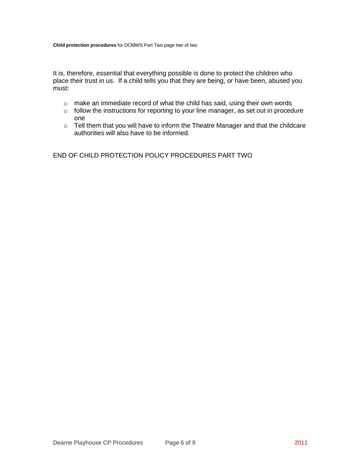It is, therefore, essential that everything possible is done to protect the children who place their trust in us. If a child tells you that they are being, or have been, abused you must:

- o make an immediate record of what the child has said, using their own words
- o follow the instructions for reporting to your line manager, as set out in procedure one
- o Tell them that you will have to inform the Theatre Manager and that the childcare authorities will also have to be informed.

END OF CHILD PROTECTION POLICY PROCEDURES PART TWO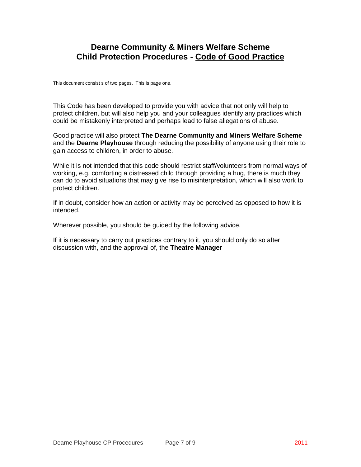# **Dearne Community & Miners Welfare Scheme Child Protection Procedures - Code of Good Practice**

This document consist s of two pages. This is page one.

This Code has been developed to provide you with advice that not only will help to protect children, but will also help you and your colleagues identify any practices which could be mistakenly interpreted and perhaps lead to false allegations of abuse.

Good practice will also protect **The Dearne Community and Miners Welfare Scheme** and the **Dearne Playhouse** through reducing the possibility of anyone using their role to gain access to children, in order to abuse.

While it is not intended that this code should restrict staff/volunteers from normal ways of working, e.g. comforting a distressed child through providing a hug, there is much they can do to avoid situations that may give rise to misinterpretation, which will also work to protect children.

If in doubt, consider how an action or activity may be perceived as opposed to how it is intended.

Wherever possible, you should be guided by the following advice.

If it is necessary to carry out practices contrary to it, you should only do so after discussion with, and the approval of, the **Theatre Manager**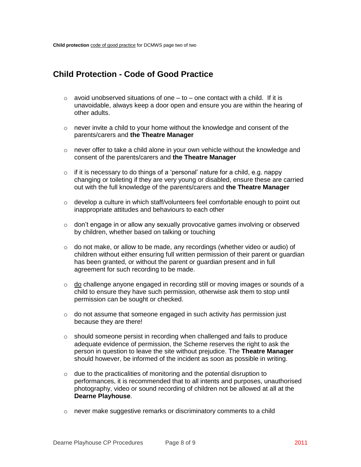# **Child Protection - Code of Good Practice**

- $\circ$  avoid unobserved situations of one to one contact with a child. If it is unavoidable, always keep a door open and ensure you are within the hearing of other adults.
- o never invite a child to your home without the knowledge and consent of the parents/carers and **the Theatre Manager**
- $\circ$  never offer to take a child alone in your own vehicle without the knowledge and consent of the parents/carers and **the Theatre Manager**
- $\circ$  if it is necessary to do things of a 'personal' nature for a child, e.g. nappy changing or toileting if they are very young or disabled, ensure these are carried out with the full knowledge of the parents/carers and **the Theatre Manager**
- $\circ$  develop a culture in which staff/volunteers feel comfortable enough to point out inappropriate attitudes and behaviours to each other
- $\circ$  don't engage in or allow any sexually provocative games involving or observed by children, whether based on talking or touching
- $\circ$  do not make, or allow to be made, any recordings (whether video or audio) of children without either ensuring full written permission of their parent or guardian has been granted, or without the parent or guardian present and in full agreement for such recording to be made.
- $\circ$  do challenge anyone engaged in recording still or moving images or sounds of a child to ensure they have such permission, otherwise ask them to stop until permission can be sought or checked.
- o do not assume that someone engaged in such activity *has* permission just because they are there!
- $\circ$  should someone persist in recording when challenged and fails to produce adequate evidence of permission, the Scheme reserves the right to ask the person in question to leave the site without prejudice. The **Theatre Manager** should however, be informed of the incident as soon as possible in writing.
- $\circ$  due to the practicalities of monitoring and the potential disruption to performances, it is recommended that to all intents and purposes, unauthorised photography, video or sound recording of children not be allowed at all at the **Dearne Playhouse**.
- o never make suggestive remarks or discriminatory comments to a child